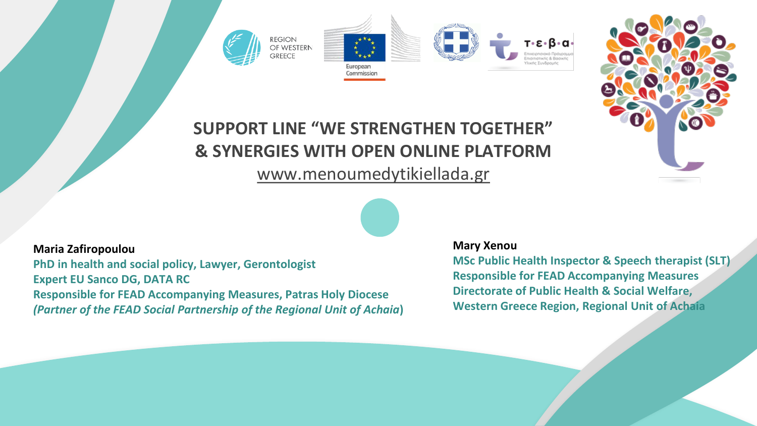



# **SUPPORT LINE "WE STRENGTHEN TOGETHER" & SYNERGIES WITH OPEN ONLINE PLATFORM**

# [www.menoumedytikiellada.gr](http://www.menoumedytikiellada.gr/)



#### **Maria Zafiropoulou**

**PhD in health and social policy, Lawyer, Gerontologist Expert EU Sanco DG, DATA RC Responsible for FEAD Accompanying Measures, Patras Holy Diocese** *(Partner of the FEAD Social Partnership of the Regional Unit of Achaia***)**

#### **Mary Xenou**

**MSc Public Health Inspector & Speech therapist (SLT) Responsible for FEAD Accompanying Measures Directorate of Public Health & Social Welfare, Western Greece Region, Regional Unit of Achaia**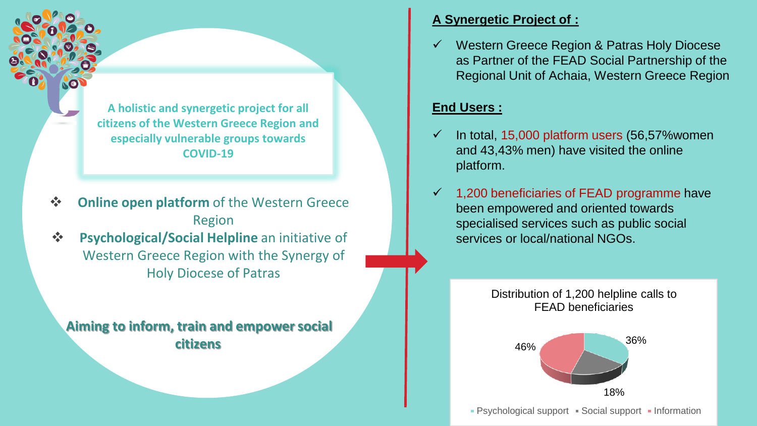**A holistic and synergetic project for all citizens of the Western Greece Region and especially vulnerable groups towards COVID-19**

- ❖ **Οnline open platform** of the Western Greece Region
- ❖ **Psychological/Social Helpline** an initiative of Western Greece Region with the Synergy of Holy Diocese of Patras

**Aiming to inform, train and empower social citizens**

#### **A Synergetic Project of :**

Western Greece Region & Patras Holy Diocese as Partner of the FEAD Social Partnership of the Regional Unit of Achaia, Western Greece Region

### **End Users :**

- In total, 15,000 platform users (56,57% women and 43,43% men) have visited the online platform.
- 1,200 beneficiaries of FEAD programme have been empowered and oriented towards specialised services such as public social services or local/national NGOs.

Distribution of 1,200 helpline calls to FEAD beneficiaries



• Psychological support • Social support • Information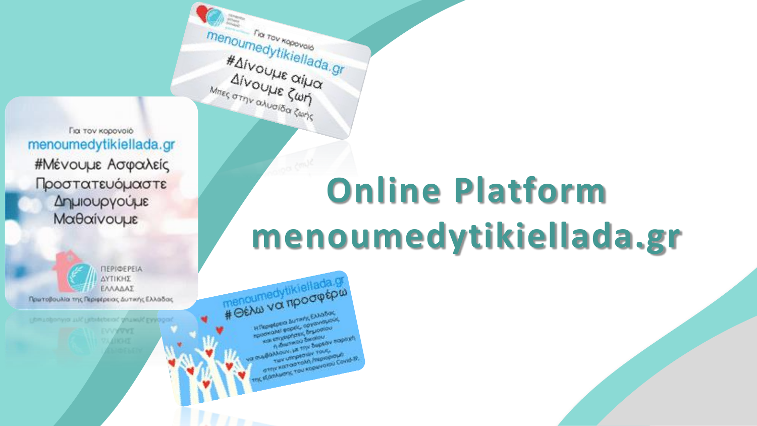Για τον κορονοιό menoumedytikiellada.gr #Μένουμε Ασφαλείς Προστατευόμαστε Δημιουργούμε Μαθαίνουμε

ΠΕΡΙΦΕΡΕΙΑ ΔΥΤΙΚΗΣ ΕΛΛΑΔΑΣ Πρωτοβουλία της Περιφέρειας Δυτικής Ελλάδας

autropol EAApoo

# **Online Platform** menoumedytikiellada.gr

menoumedytikiellada.g **HTIpretpero Autoris ENGSon** spookolal espek, opymysysky Kal empteyers, Bruggiou **1) Knutwoo Barglou BOARDOV, HE TITY SUDESY RODOXY! OTTY KOTOPTOM /MOODOWS CONSUMITY TOU KODWYDIOU COVID-B.** 

menoumedytikiellada.gr

#AIVOULLE OILLON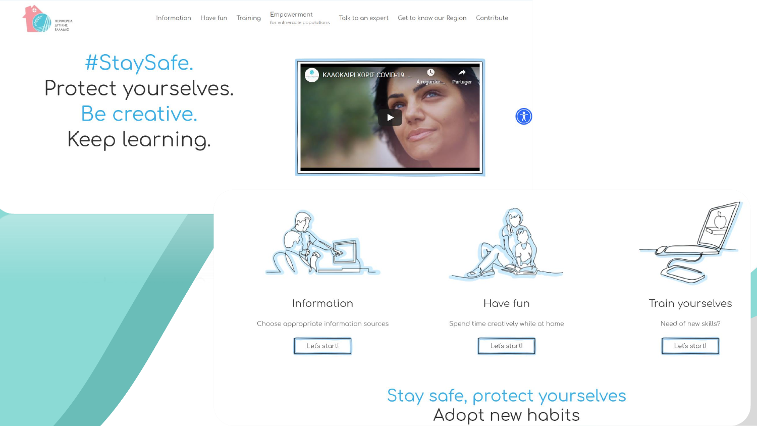

Talk to an expert Get to know our Region Contribute

#StaySafe. Protect yourselves. Be creative. Keep learning.







Information

Choose appropriate information sources





Have fun

Spend time creatively while at home







Train yourselves

Need of new skills?

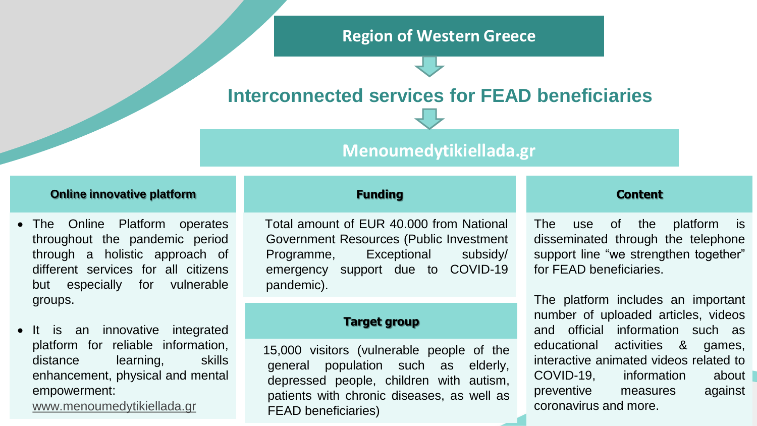## **Region of Western Greece**

# **Interconnected services for FEAD beneficiaries**

## **Menoumedytikiellada.gr**

#### **Online innovative platform**

- 70% throughout the pandemic period • The Online Platform operates through a holistic approach of different services for all citizens but especially for vulnerable groups.
- is an innovative integrated platform for reliable information, distance learning, skills enhancement, physical and mental empowerment:

[www.menoumedytikiellada.gr](http://www.menoumedytikiellada.gr/)

## 30 days **Funding**

 $\frac{880}{200}$ Total amount of EUR 40.000 from National Government Resources (Public Investment Programme, Exceptional subsidy/ emergency support due to COVID-19 pandemic).

#### **Target group**

15,000 visitors (vulnerable people of the general population such as elderly, depressed people, children with autism, patients with chronic diseases, as well as FEAD beneficiaries)

#### **Content**

The use of the platform is disseminated through the telephone support line "we strengthen together" for FEAD beneficiaries.

The platform includes an important number of uploaded articles, videos and official information such as educational activities & games, interactive animated videos related to COVID-19, information about preventive measures against coronavirus and more.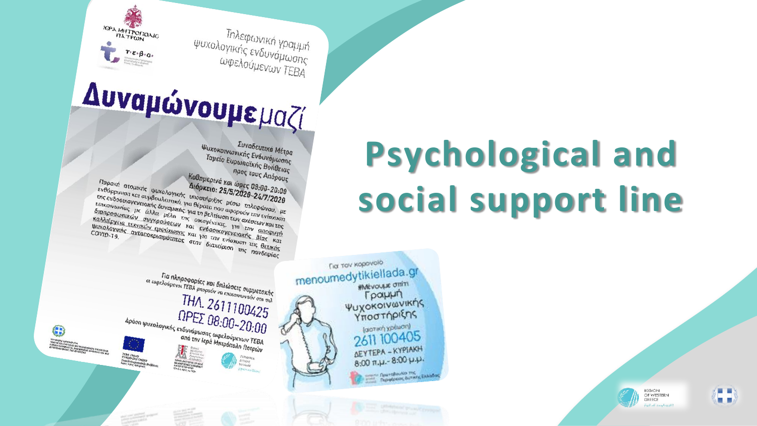Τηλεφωνική γραμμή ψυχολογικής ενδυνάμωσης ωφελούμενων ΤΕΒΑ

# Δυναμώνουμεμαζί

IEPA MHTPONOAIC

*TIA TPWN* 

Συνοδευτικά Μέτρα Ψυχοκοινωνικής Ενδυνάμωσης Ταμείο Ευρωπαϊκής Βοήθειας προς τους Απόρους Καθημερινά και ώρες 08:00-20:00 Παροχή ατομικής ψυχολογικής υποστήριξης μέσω τηλεφώνου, με Παροχη ατομικής φυχολυγικής υπουτήρις με του τηνεφωνού, με<br>ενθάρρυνση και συμβουλευτική, για θέματα που αφορούν την ενίσχυση LITE EVOODIKOVEVEIGIKTIG OUVELUATION THE VEHING THE VEHING THE EVIDENCIAL ETTER EVIDENCIAL CONTROL CHARGE OUT Lin ενουσιασγενειακή συναμική, για τη ρεπτασία των στονεων παραγμής.<br>ΕΠΙΚΟΙνωνίας με άλλα μέλη της οικογένειας, για την αποφυγή Sianpoownikóv auykpouoróv kai evőooikovevelakne Blas ka καλλιέργεια τεχνικών εμψύχωσης και για την ενίσχυση της θετικής προπειργεια τελευτικές εμφανικές και για την ενισχύση της πανδημίας<br>Φυχολογικής ανταποκρισιμότητας στην διαχείριση της πανδημίας

# **Psychological and** social support line



REGION OF WESTERN GREECE Full of contract

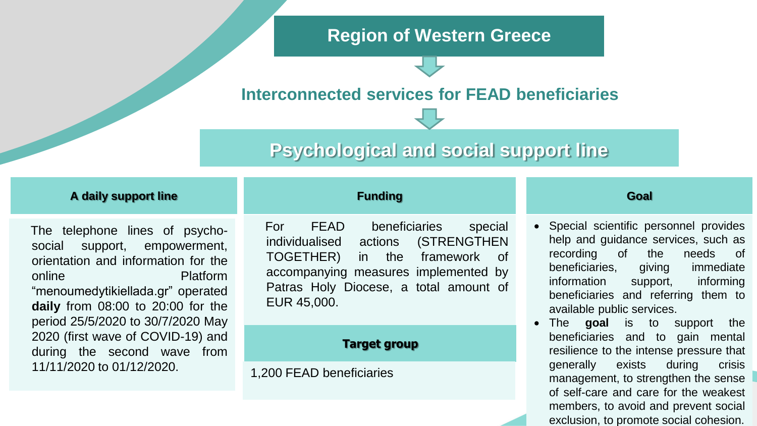## **Region of Western Greece**

# **Interconnected services for FEAD beneficiaries**

# **Psychological and social support line**

#### **A daily support line**

me templement and one poyerts The telephone lines of psychoorientation and information for the online Platform "menoumedytikiellada.gr" operated **daily** from 08:00 to 20:00 for the period 25/5/2020 to 30/7/2020 May 2020 (first wave of COVID-19) and during the second wave from 11/11/2020 to 01/12/2020.

## **Funding**

accompanying measures implemented by<br>Patras Holy Diocese, a total amount of For FEAD beneficiaries special individualised actions (STRENGΤHEN TOGETHER) in the framework of accompanying measures implemented by EUR 45,000.

#### **Target group**

1,200 FEAD beneficiaries

#### **Goal**

- Special scientific personnel provides help and guidance services, such as recording of the needs of beneficiaries, giving immediate information support, informing beneficiaries and referring them to available public services.
- The **goal** is to support the beneficiaries and to gain mental resilience to the intense pressure that generally exists during crisis management, to strengthen the sense of self-care and care for the weakest members, to avoid and prevent social exclusion, to promote social cohesion.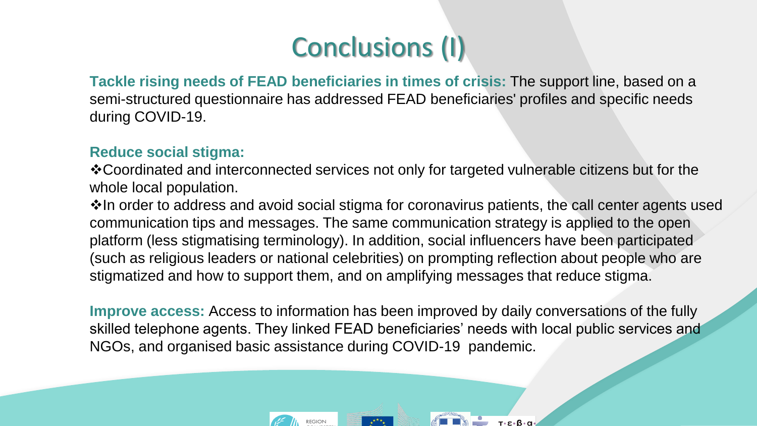# Conclusions (I)

**Tackle rising needs of FEAD beneficiaries in times of crisis:** The support line, based on a semi-structured questionnaire has addressed FEAD beneficiaries' profiles and specific needs during COVID-19.

## **Reduce social stigma:**

❖Coordinated and interconnected services not only for targeted vulnerable citizens but for the whole local population.

❖In order to address and avoid social stigma for coronavirus patients, the call center agents used communication tips and messages. The same communication strategy is applied to the open platform (less stigmatising terminology). In addition, social influencers have been participated (such as religious leaders or national celebrities) on prompting reflection about people who are stigmatized and how to support them, and on amplifying messages that reduce stigma.

**Improve access:** Access to information has been improved by daily conversations of the fully skilled telephone agents. They linked FEAD beneficiaries' needs with local public services and NGOs, and organised basic assistance during COVID-19 pandemic.

τ•ε•β•α

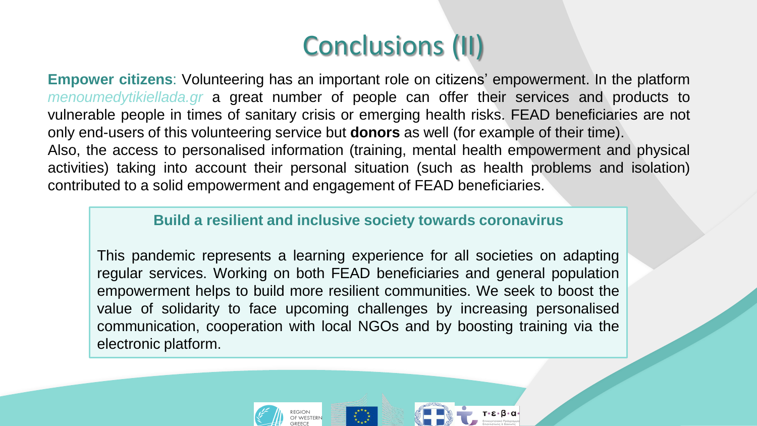# Conclusions (II)

**Empower citizens**: Volunteering has an important role on citizens' empowerment. In the platform *menoumedytikiellada.gr* a great number of people can offer their services and products to vulnerable people in times of sanitary crisis or emerging health risks. FEAD beneficiaries are not only end-users of this volunteering service but **donors** as well (for example of their time). Also, the access to personalised information (training, mental health empowerment and physical activities) taking into account their personal situation (such as health problems and isolation) contributed to a solid empowerment and engagement of FEAD beneficiaries.

### **Build a resilient and inclusive society towards coronavirus**

This pandemic represents a learning experience for all societies on adapting regular services. Working on both FEAD beneficiaries and general population empowerment helps to build more resilient communities. We seek to boost the value of solidarity to face upcoming challenges by increasing personalised communication, cooperation with local NGOs and by boosting training via the electronic platform.